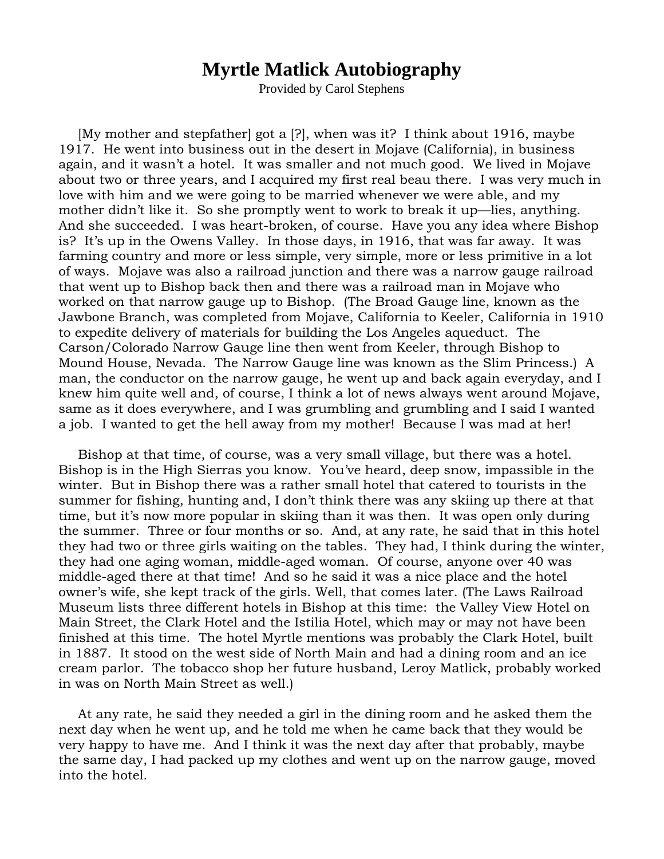## **Myrtle Matlick Autobiography**

Provided by Carol Stephens

[My mother and stepfather] got a [?], when was it? I think about 1916, maybe 1917. He went into business out in the desert in Mojave (California), in business again, and it wasn't a hotel. It was smaller and not much good. We lived in Mojave about two or three years, and I acquired my first real beau there. I was very much in love with him and we were going to be married whenever we were able, and my mother didn't like it. So she promptly went to work to break it up—lies, anything. And she succeeded. I was heart-broken, of course. Have you any idea where Bishop is? It's up in the Owens Valley. In those days, in 1916, that was far away. It was farming country and more or less simple, very simple, more or less primitive in a lot of ways. Mojave was also a railroad junction and there was a narrow gauge railroad that went up to Bishop back then and there was a railroad man in Mojave who worked on that narrow gauge up to Bishop. (The Broad Gauge line, known as the Jawbone Branch, was completed from Mojave, California to Keeler, California in 1910 to expedite delivery of materials for building the Los Angeles aqueduct. The Carson/Colorado Narrow Gauge line then went from Keeler, through Bishop to Mound House, Nevada. The Narrow Gauge line was known as the Slim Princess.) A man, the conductor on the narrow gauge, he went up and back again everyday, and I knew him quite well and, of course, I think a lot of news always went around Mojave, same as it does everywhere, and I was grumbling and grumbling and I said I wanted a job. I wanted to get the hell away from my mother! Because I was mad at her!

Bishop at that time, of course, was a very small village, but there was a hotel. Bishop is in the High Sierras you know. You've heard, deep snow, impassible in the winter. But in Bishop there was a rather small hotel that catered to tourists in the summer for fishing, hunting and, I don't think there was any skiing up there at that time, but it's now more popular in skiing than it was then. It was open only during the summer. Three or four months or so. And, at any rate, he said that in this hotel they had two or three girls waiting on the tables. They had, I think during the winter, they had one aging woman, middle-aged woman. Of course, anyone over 40 was middle-aged there at that time! And so he said it was a nice place and the hotel owner's wife, she kept track of the girls. Well, that comes later. (The Laws Railroad Museum lists three different hotels in Bishop at this time: the Valley View Hotel on Main Street, the Clark Hotel and the Istilia Hotel, which may or may not have been finished at this time. The hotel Myrtle mentions was probably the Clark Hotel, built in 1887. It stood on the west side of North Main and had a dining room and an ice cream parlor. The tobacco shop her future husband, Leroy Matlick, probably worked in was on North Main Street as well.)

At any rate, he said they needed a girl in the dining room and he asked them the next day when he went up, and he told me when he came back that they would be very happy to have me. And I think it was the next day after that probably, maybe the same day, I had packed up my clothes and went up on the narrow gauge, moved into the hotel.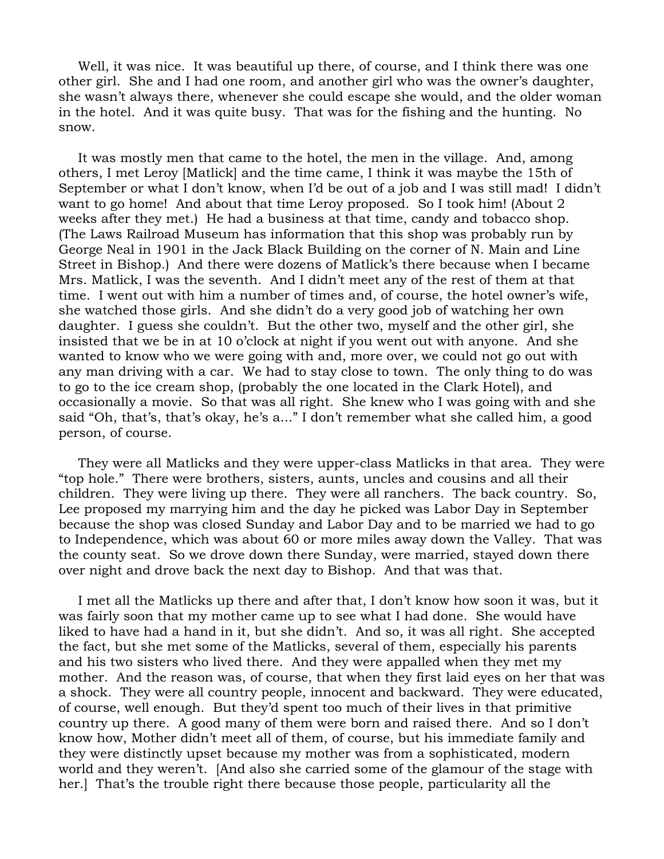Well, it was nice. It was beautiful up there, of course, and I think there was one other girl. She and I had one room, and another girl who was the owner's daughter, she wasn't always there, whenever she could escape she would, and the older woman in the hotel. And it was quite busy. That was for the fishing and the hunting. No snow.

It was mostly men that came to the hotel, the men in the village. And, among others, I met Leroy [Matlick] and the time came, I think it was maybe the 15th of September or what I don't know, when I'd be out of a job and I was still mad! I didn't want to go home! And about that time Leroy proposed. So I took him! (About 2 weeks after they met.) He had a business at that time, candy and tobacco shop. (The Laws Railroad Museum has information that this shop was probably run by George Neal in 1901 in the Jack Black Building on the corner of N. Main and Line Street in Bishop.) And there were dozens of Matlick's there because when I became Mrs. Matlick, I was the seventh. And I didn't meet any of the rest of them at that time. I went out with him a number of times and, of course, the hotel owner's wife, she watched those girls. And she didn't do a very good job of watching her own daughter. I guess she couldn't. But the other two, myself and the other girl, she insisted that we be in at 10 o'clock at night if you went out with anyone. And she wanted to know who we were going with and, more over, we could not go out with any man driving with a car. We had to stay close to town. The only thing to do was to go to the ice cream shop, (probably the one located in the Clark Hotel), and occasionally a movie. So that was all right. She knew who I was going with and she said "Oh, that's, that's okay, he's a..." I don't remember what she called him, a good person, of course.

They were all Matlicks and they were upper-class Matlicks in that area. They were "top hole." There were brothers, sisters, aunts, uncles and cousins and all their children. They were living up there. They were all ranchers. The back country. So, Lee proposed my marrying him and the day he picked was Labor Day in September because the shop was closed Sunday and Labor Day and to be married we had to go to Independence, which was about 60 or more miles away down the Valley. That was the county seat. So we drove down there Sunday, were married, stayed down there over night and drove back the next day to Bishop. And that was that.

I met all the Matlicks up there and after that, I don't know how soon it was, but it was fairly soon that my mother came up to see what I had done. She would have liked to have had a hand in it, but she didn't. And so, it was all right. She accepted the fact, but she met some of the Matlicks, several of them, especially his parents and his two sisters who lived there. And they were appalled when they met my mother. And the reason was, of course, that when they first laid eyes on her that was a shock. They were all country people, innocent and backward. They were educated, of course, well enough. But they'd spent too much of their lives in that primitive country up there. A good many of them were born and raised there. And so I don't know how, Mother didn't meet all of them, of course, but his immediate family and they were distinctly upset because my mother was from a sophisticated, modern world and they weren't. [And also she carried some of the glamour of the stage with her.] That's the trouble right there because those people, particularity all the